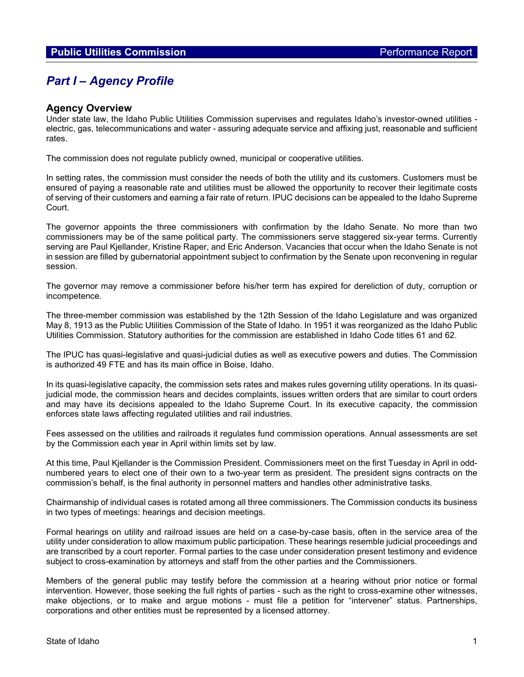# *Part I – Agency Profile*

## **Agency Overview**

Under state law, the Idaho Public Utilities Commission supervises and regulates Idaho's investor-owned utilities electric, gas, telecommunications and water - assuring adequate service and affixing just, reasonable and sufficient rates.

The commission does not regulate publicly owned, municipal or cooperative utilities.

In setting rates, the commission must consider the needs of both the utility and its customers. Customers must be ensured of paying a reasonable rate and utilities must be allowed the opportunity to recover their legitimate costs of serving of their customers and earning a fair rate of return. IPUC decisions can be appealed to the Idaho Supreme Court.

The governor appoints the three commissioners with confirmation by the Idaho Senate. No more than two commissioners may be of the same political party. The commissioners serve staggered six-year terms. Currently serving are Paul Kjellander, Kristine Raper, and Eric Anderson. Vacancies that occur when the Idaho Senate is not in session are filled by gubernatorial appointment subject to confirmation by the Senate upon reconvening in regular session.

The governor may remove a commissioner before his/her term has expired for dereliction of duty, corruption or incompetence.

The three-member commission was established by the 12th Session of the Idaho Legislature and was organized May 8, 1913 as the Public Utilities Commission of the State of Idaho. In 1951 it was reorganized as the Idaho Public Utilities Commission. Statutory authorities for the commission are established in Idaho Code titles 61 and 62.

The IPUC has quasi-legislative and quasi-judicial duties as well as executive powers and duties. The Commission is authorized 49 FTE and has its main office in Boise, Idaho.

In its quasi-legislative capacity, the commission sets rates and makes rules governing utility operations. In its quasijudicial mode, the commission hears and decides complaints, issues written orders that are similar to court orders and may have its decisions appealed to the Idaho Supreme Court. In its executive capacity, the commission enforces state laws affecting regulated utilities and rail industries.

Fees assessed on the utilities and railroads it regulates fund commission operations. Annual assessments are set by the Commission each year in April within limits set by law.

At this time, Paul Kjellander is the Commission President. Commissioners meet on the first Tuesday in April in oddnumbered years to elect one of their own to a two-year term as president. The president signs contracts on the commission's behalf, is the final authority in personnel matters and handles other administrative tasks.

Chairmanship of individual cases is rotated among all three commissioners. The Commission conducts its business in two types of meetings: hearings and decision meetings.

Formal hearings on utility and railroad issues are held on a case-by-case basis, often in the service area of the utility under consideration to allow maximum public participation. These hearings resemble judicial proceedings and are transcribed by a court reporter. Formal parties to the case under consideration present testimony and evidence subject to cross-examination by attorneys and staff from the other parties and the Commissioners.

Members of the general public may testify before the commission at a hearing without prior notice or formal intervention. However, those seeking the full rights of parties - such as the right to cross-examine other witnesses, make objections, or to make and argue motions - must file a petition for "intervener" status. Partnerships, corporations and other entities must be represented by a licensed attorney.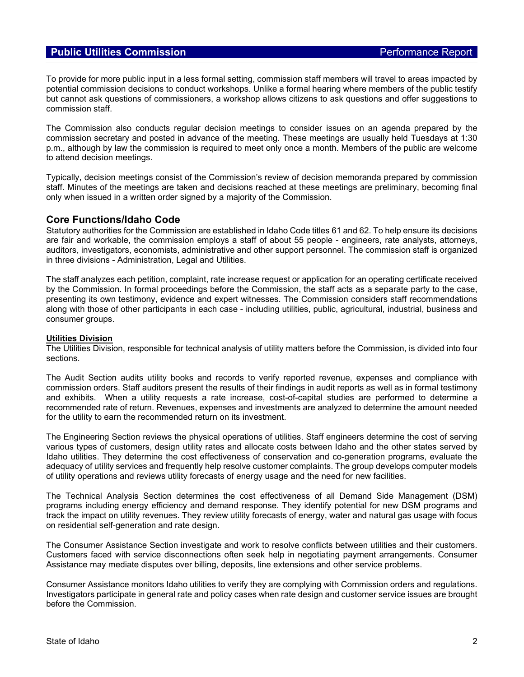To provide for more public input in a less formal setting, commission staff members will travel to areas impacted by potential commission decisions to conduct workshops. Unlike a formal hearing where members of the public testify but cannot ask questions of commissioners, a workshop allows citizens to ask questions and offer suggestions to commission staff.

The Commission also conducts regular decision meetings to consider issues on an agenda prepared by the commission secretary and posted in advance of the meeting. These meetings are usually held Tuesdays at 1:30 p.m., although by law the commission is required to meet only once a month. Members of the public are welcome to attend decision meetings.

Typically, decision meetings consist of the Commission's review of decision memoranda prepared by commission staff. Minutes of the meetings are taken and decisions reached at these meetings are preliminary, becoming final only when issued in a written order signed by a majority of the Commission.

# **Core Functions/Idaho Code**

Statutory authorities for the Commission are established in Idaho Code titles 61 and 62. To help ensure its decisions are fair and workable, the commission employs a staff of about 55 people - engineers, rate analysts, attorneys, auditors, investigators, economists, administrative and other support personnel. The commission staff is organized in three divisions - Administration, Legal and Utilities.

The staff analyzes each petition, complaint, rate increase request or application for an operating certificate received by the Commission. In formal proceedings before the Commission, the staff acts as a separate party to the case, presenting its own testimony, evidence and expert witnesses. The Commission considers staff recommendations along with those of other participants in each case - including utilities, public, agricultural, industrial, business and consumer groups.

### **Utilities Division**

The Utilities Division, responsible for technical analysis of utility matters before the Commission, is divided into four sections.

The Audit Section audits utility books and records to verify reported revenue, expenses and compliance with commission orders. Staff auditors present the results of their findings in audit reports as well as in formal testimony and exhibits. When a utility requests a rate increase, cost-of-capital studies are performed to determine a recommended rate of return. Revenues, expenses and investments are analyzed to determine the amount needed for the utility to earn the recommended return on its investment.

The Engineering Section reviews the physical operations of utilities. Staff engineers determine the cost of serving various types of customers, design utility rates and allocate costs between Idaho and the other states served by Idaho utilities. They determine the cost effectiveness of conservation and co-generation programs, evaluate the adequacy of utility services and frequently help resolve customer complaints. The group develops computer models of utility operations and reviews utility forecasts of energy usage and the need for new facilities.

The Technical Analysis Section determines the cost effectiveness of all Demand Side Management (DSM) programs including energy efficiency and demand response. They identify potential for new DSM programs and track the impact on utility revenues. They review utility forecasts of energy, water and natural gas usage with focus on residential self-generation and rate design.

The Consumer Assistance Section investigate and work to resolve conflicts between utilities and their customers. Customers faced with service disconnections often seek help in negotiating payment arrangements. Consumer Assistance may mediate disputes over billing, deposits, line extensions and other service problems.

Consumer Assistance monitors Idaho utilities to verify they are complying with Commission orders and regulations. Investigators participate in general rate and policy cases when rate design and customer service issues are brought before the Commission.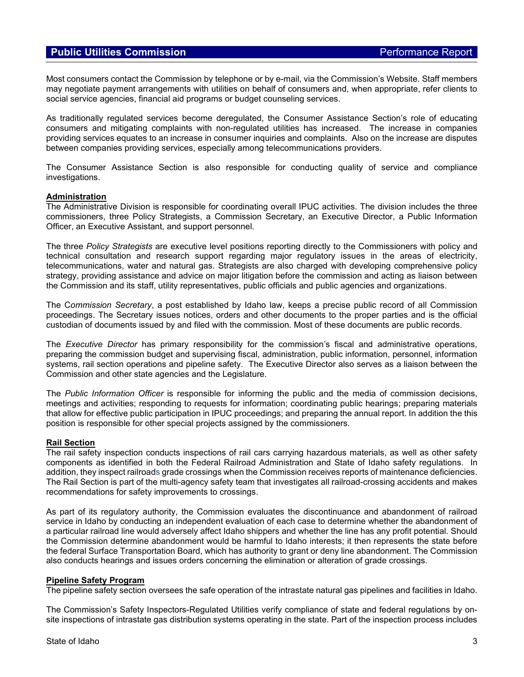# **Public Utilities Commission Public Utilities Commission**

Most consumers contact the Commission by telephone or by e-mail, via the Commission's Website. Staff members may negotiate payment arrangements with utilities on behalf of consumers and, when appropriate, refer clients to social service agencies, financial aid programs or budget counseling services.

As traditionally regulated services become deregulated, the Consumer Assistance Section's role of educating consumers and mitigating complaints with non-regulated utilities has increased. The increase in companies providing services equates to an increase in consumer inquiries and complaints. Also on the increase are disputes between companies providing services, especially among telecommunications providers.

The Consumer Assistance Section is also responsible for conducting quality of service and compliance investigations.

#### **Administration**

The Administrative Division is responsible for coordinating overall IPUC activities. The division includes the three commissioners, three Policy Strategists, a Commission Secretary, an Executive Director, a Public Information Officer, an Executive Assistant, and support personnel.

The three *Policy Strategists* are executive level positions reporting directly to the Commissioners with policy and technical consultation and research support regarding major regulatory issues in the areas of electricity, telecommunications, water and natural gas. Strategists are also charged with developing comprehensive policy strategy, providing assistance and advice on major litigation before the commission and acting as liaison between the Commission and its staff, utility representatives, public officials and public agencies and organizations.

The C*ommission Secretary*, a post established by Idaho law, keeps a precise public record of all Commission proceedings. The Secretary issues notices, orders and other documents to the proper parties and is the official custodian of documents issued by and filed with the commission. Most of these documents are public records.

The *Executive Director* has primary responsibility for the commission's fiscal and administrative operations, preparing the commission budget and supervising fiscal, administration, public information, personnel, information systems, rail section operations and pipeline safety. The Executive Director also serves as a liaison between the Commission and other state agencies and the Legislature.

The *Public Information Officer* is responsible for informing the public and the media of commission decisions, meetings and activities; responding to requests for information; coordinating public hearings; preparing materials that allow for effective public participation in IPUC proceedings; and preparing the annual report. In addition the this position is responsible for other special projects assigned by the commissioners.

### **Rail Section**

The rail safety inspection conducts inspections of rail cars carrying hazardous materials, as well as other safety components as identified in both the Federal Railroad Administration and State of Idaho safety regulations. In addition, they inspect railroads grade crossings when the Commission receives reports of maintenance deficiencies. The Rail Section is part of the multi-agency safety team that investigates all railroad-crossing accidents and makes recommendations for safety improvements to crossings.

As part of its regulatory authority, the Commission evaluates the discontinuance and abandonment of railroad service in Idaho by conducting an independent evaluation of each case to determine whether the abandonment of a particular railroad line would adversely affect Idaho shippers and whether the line has any profit potential. Should the Commission determine abandonment would be harmful to Idaho interests; it then represents the state before the federal Surface Transportation Board, which has authority to grant or deny line abandonment. The Commission also conducts hearings and issues orders concerning the elimination or alteration of grade crossings.

#### **Pipeline Safety Program**

The pipeline safety section oversees the safe operation of the intrastate natural gas pipelines and facilities in Idaho.

The Commission's Safety Inspectors-Regulated Utilities verify compliance of state and federal regulations by onsite inspections of intrastate gas distribution systems operating in the state. Part of the inspection process includes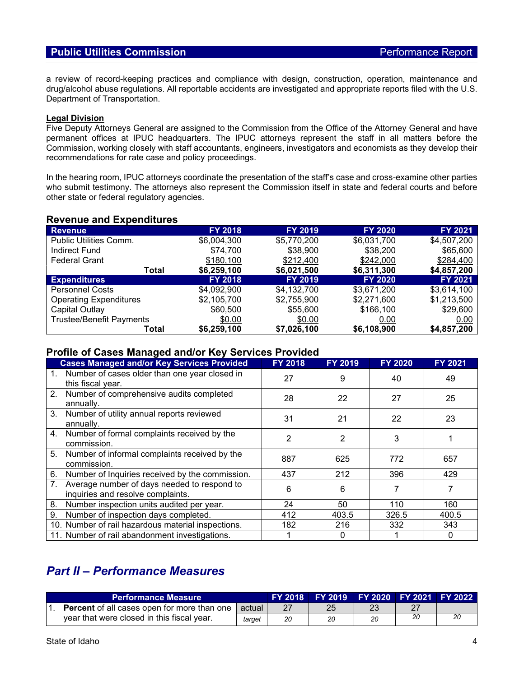a review of record-keeping practices and compliance with design, construction, operation, maintenance and drug/alcohol abuse regulations. All reportable accidents are investigated and appropriate reports filed with the U.S. Department of Transportation.

### **Legal Division**

Five Deputy Attorneys General are assigned to the Commission from the Office of the Attorney General and have permanent offices at IPUC headquarters. The IPUC attorneys represent the staff in all matters before the Commission, working closely with staff accountants, engineers, investigators and economists as they develop their recommendations for rate case and policy proceedings.

In the hearing room, IPUC attorneys coordinate the presentation of the staff's case and cross-examine other parties who submit testimony. The attorneys also represent the Commission itself in state and federal courts and before other state or federal regulatory agencies.

### **Revenue and Expenditures**

| <b>Revenue</b>                  | <b>FY 2018</b> | <b>FY 2019</b> | <b>FY 2020</b> | FY 2021        |
|---------------------------------|----------------|----------------|----------------|----------------|
| Public Utilities Comm.          | \$6,004,300    | \$5,770,200    | \$6,031,700    | \$4,507,200    |
| Indirect Fund                   | \$74,700       | \$38,900       | \$38,200       | \$65,600       |
| <b>Federal Grant</b>            | \$180,100      | \$212,400      | \$242,000      | \$284,400      |
| Total                           | \$6,259,100    | \$6,021,500    | \$6,311,300    | \$4,857,200    |
| <b>Expenditures</b>             | <b>FY 2018</b> | <b>FY 2019</b> | <b>FY 2020</b> | <b>FY 2021</b> |
| <b>Personnel Costs</b>          | \$4.092.900    | \$4,132,700    | \$3,671,200    | \$3,614,100    |
| <b>Operating Expenditures</b>   | \$2,105,700    | \$2,755,900    | \$2,271,600    | \$1,213,500    |
| Capital Outlay                  | \$60,500       | \$55,600       | \$166,100      | \$29,600       |
| <b>Trustee/Benefit Payments</b> | \$0.00         | \$0.00         | 0.00           | 0.00           |
| Total                           | \$6,259,100    | \$7,026,100    | \$6,108,900    | \$4,857,200    |

# **Profile of Cases Managed and/or Key Services Provided**

|                | <b>Cases Managed and/or Key Services Provided</b>                                | <b>FY 2018</b> | <b>FY 2019</b> | <b>FY 2020</b> | <b>FY 2021</b> |
|----------------|----------------------------------------------------------------------------------|----------------|----------------|----------------|----------------|
| 1.             | Number of cases older than one year closed in<br>this fiscal year.               | 27             | 9              | 40             | 49             |
|                | 2. Number of comprehensive audits completed<br>annually.                         | 28             | 22             | 27             | 25             |
| 3 <sub>1</sub> | Number of utility annual reports reviewed<br>annually.                           | 31             | 21             | 22             | 23             |
|                | 4. Number of formal complaints received by the<br>commission.                    | 2              | 2              | 3              |                |
| 5.             | Number of informal complaints received by the<br>commission.                     | 887            | 625            | 772            | 657            |
| 6.             | Number of Inquiries received by the commission.                                  | 437            | 212            | 396            | 429            |
| 7.             | Average number of days needed to respond to<br>inquiries and resolve complaints. | 6              | 6              |                | 7              |
| 8.             | Number inspection units audited per year.                                        | 24             | 50             | 110            | 160            |
| 9.             | Number of inspection days completed.                                             | 412            | 403.5          | 326.5          | 400.5          |
|                | 10. Number of rail hazardous material inspections.                               | 182            | 216            | 332            | 343            |
|                | 11. Number of rail abandonment investigations.                                   |                | 0              |                | $\mathbf{0}$   |

# *Part II – Performance Measures*

| 'Performance Measure, |                                                    | FY 2018 N | FY 2019 FY 2020 FY 2021 FY 2022 |    |    |    |  |
|-----------------------|----------------------------------------------------|-----------|---------------------------------|----|----|----|--|
|                       | <b>Percent</b> of all cases open for more than one | actual    |                                 | 25 |    |    |  |
|                       | year that were closed in this fiscal year.         | target    | 20                              | 20 | 20 | 20 |  |